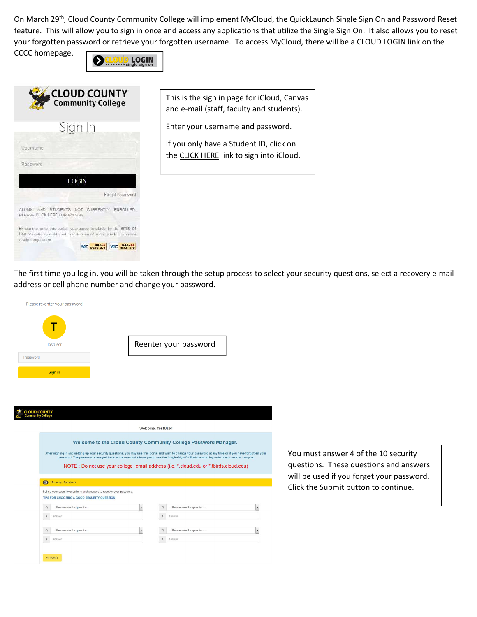On March 29<sup>th</sup>, Cloud County Community College will implement MyCloud, the QuickLaunch Single Sign On and Password Reset feature. This will allow you to sign in once and access any applications that utilize the Single Sign On. It also allows you to reset your forgotten password or retrieve your forgotten username. To access MyCloud, there will be a CLOUD LOGIN link on the

CCCC homepage.



| <b>Community College</b>                                           |                                                                                                                                          |  |  |
|--------------------------------------------------------------------|------------------------------------------------------------------------------------------------------------------------------------------|--|--|
|                                                                    | Sign In                                                                                                                                  |  |  |
| Usemame                                                            |                                                                                                                                          |  |  |
| Password                                                           |                                                                                                                                          |  |  |
|                                                                    | <b>LOGIN</b>                                                                                                                             |  |  |
|                                                                    | Forgot Password                                                                                                                          |  |  |
| ALUMNI AND STUDENTS NOT CURRENTLY<br>PLEASE CLICK HERE FOR ACCESS. | ENROLLED.                                                                                                                                |  |  |
| disciplinary action.                                               | By signing onto this portal, you agree to abide by its Terms of<br>Use. Violations could lead to restriction of portal privileges and/or |  |  |
|                                                                    | W3C WCAG 2.0                                                                                                                             |  |  |

This is the sign in page for iCloud, Canvas and e-mail (staff, faculty and students).

Enter your username and password.

If you only have a Student ID, click on the CLICK HERE link to sign into iCloud.

The first time you log in, you will be taken through the setup process to select your security questions, select a recovery e-mail address or cell phone number and change your password.



| <b>X</b> CLOUD COUNTY |  |  |                          |  |
|-----------------------|--|--|--------------------------|--|
|                       |  |  | <b>Community College</b> |  |

Welcome, TestUser Welcome to the Cloud County Community College Password Manager. After signing in and setting up your security questions, you may use this portal and wish to change your password at any time or if you have forgotten your<br>password. The password managed here is the one that allows you to NOTE : Do not use your college email address (i.e. \*.cloud.edu or \*.tbirds.cloud.edu) **B** Security Questions Set up your security questions and answers to recover your password. TIPS FOR CHOOSING A GOOD SECURITY QUESTION  $\overline{\phantom{a}}$  $Q = -P$ lease select a question- $\overline{\phantom{a}}$ Q -Please select a question-A Answer A Answer  $\overline{\phantom{a}}$  $\overline{\phantom{a}}$  $Q = -P$ lease select a question-Q -Please select a question-A Answer A Answer SUBMIT

You must answer 4 of the 10 security questions. These questions and answers will be used if you forget your password. Click the Submit button to continue.